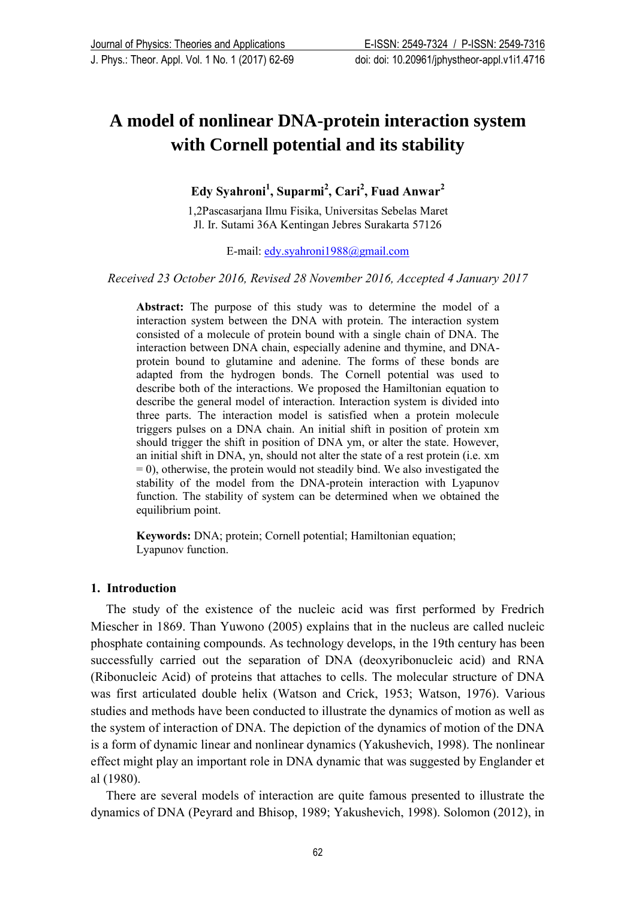# **A model of nonlinear DNA-protein interaction system with Cornell potential and its stability**

**Edy Syahroni<sup>1</sup> , Suparmi<sup>2</sup> , Cari<sup>2</sup> , Fuad Anwar<sup>2</sup>**

1,2Pascasarjana Ilmu Fisika, Universitas Sebelas Maret Jl. Ir. Sutami 36A Kentingan Jebres Surakarta 57126

E-mail: [edy.syahroni1988@gmail.com](mailto:edy.syahroni1988@gmail.com)

#### *Received 23 October 2016, Revised 28 November 2016, Accepted 4 January 2017*

**Abstract:** The purpose of this study was to determine the model of a interaction system between the DNA with protein. The interaction system consisted of a molecule of protein bound with a single chain of DNA. The interaction between DNA chain, especially adenine and thymine, and DNAprotein bound to glutamine and adenine. The forms of these bonds are adapted from the hydrogen bonds. The Cornell potential was used to describe both of the interactions. We proposed the Hamiltonian equation to describe the general model of interaction. Interaction system is divided into three parts. The interaction model is satisfied when a protein molecule triggers pulses on a DNA chain. An initial shift in position of protein xm should trigger the shift in position of DNA ym, or alter the state. However, an initial shift in DNA, yn, should not alter the state of a rest protein (i.e. xm  $= 0$ ), otherwise, the protein would not steadily bind. We also investigated the stability of the model from the DNA-protein interaction with Lyapunov function. The stability of system can be determined when we obtained the equilibrium point.

**Keywords:** DNA; protein; Cornell potential; Hamiltonian equation; Lyapunov function.

#### **1. Introduction**

The study of the existence of the nucleic acid was first performed by Fredrich Miescher in 1869. Than Yuwono (2005) explains that in the nucleus are called nucleic phosphate containing compounds. As technology develops, in the 19th century has been successfully carried out the separation of DNA (deoxyribonucleic acid) and RNA (Ribonucleic Acid) of proteins that attaches to cells. The molecular structure of DNA was first articulated double helix (Watson and Crick, 1953; Watson, 1976). Various studies and methods have been conducted to illustrate the dynamics of motion as well as the system of interaction of DNA. The depiction of the dynamics of motion of the DNA is a form of dynamic linear and nonlinear dynamics (Yakushevich, 1998). The nonlinear effect might play an important role in DNA dynamic that was suggested by Englander et al (1980).

There are several models of interaction are quite famous presented to illustrate the dynamics of DNA (Peyrard and Bhisop, 1989; Yakushevich, 1998). Solomon (2012), in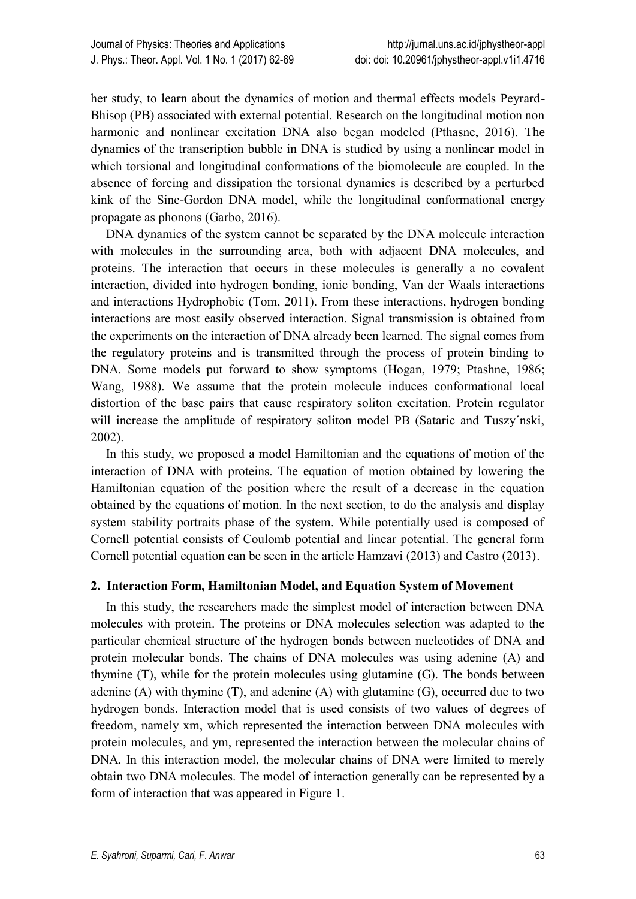her study, to learn about the dynamics of motion and thermal effects models Peyrard-Bhisop (PB) associated with external potential. Research on the longitudinal motion non harmonic and nonlinear excitation DNA also began modeled (Pthasne, 2016). The dynamics of the transcription bubble in DNA is studied by using a nonlinear model in which torsional and longitudinal conformations of the biomolecule are coupled. In the absence of forcing and dissipation the torsional dynamics is described by a perturbed kink of the Sine-Gordon DNA model, while the longitudinal conformational energy propagate as phonons (Garbo, 2016).

DNA dynamics of the system cannot be separated by the DNA molecule interaction with molecules in the surrounding area, both with adjacent DNA molecules, and proteins. The interaction that occurs in these molecules is generally a no covalent interaction, divided into hydrogen bonding, ionic bonding, Van der Waals interactions and interactions Hydrophobic (Tom, 2011). From these interactions, hydrogen bonding interactions are most easily observed interaction. Signal transmission is obtained from the experiments on the interaction of DNA already been learned. The signal comes from the regulatory proteins and is transmitted through the process of protein binding to DNA. Some models put forward to show symptoms (Hogan, 1979; Ptashne, 1986; Wang, 1988). We assume that the protein molecule induces conformational local distortion of the base pairs that cause respiratory soliton excitation. Protein regulator will increase the amplitude of respiratory soliton model PB (Sataric and Tuszy´nski, 2002).

In this study, we proposed a model Hamiltonian and the equations of motion of the interaction of DNA with proteins. The equation of motion obtained by lowering the Hamiltonian equation of the position where the result of a decrease in the equation obtained by the equations of motion. In the next section, to do the analysis and display system stability portraits phase of the system. While potentially used is composed of Cornell potential consists of Coulomb potential and linear potential. The general form Cornell potential equation can be seen in the article Hamzavi (2013) and Castro (2013).

# **2. Interaction Form, Hamiltonian Model, and Equation System of Movement**

In this study, the researchers made the simplest model of interaction between DNA molecules with protein. The proteins or DNA molecules selection was adapted to the particular chemical structure of the hydrogen bonds between nucleotides of DNA and protein molecular bonds. The chains of DNA molecules was using adenine (A) and thymine (T), while for the protein molecules using glutamine (G). The bonds between adenine  $(A)$  with thymine  $(T)$ , and adenine  $(A)$  with glutamine  $(G)$ , occurred due to two hydrogen bonds. Interaction model that is used consists of two values of degrees of freedom, namely xm, which represented the interaction between DNA molecules with protein molecules, and ym, represented the interaction between the molecular chains of DNA. In this interaction model, the molecular chains of DNA were limited to merely obtain two DNA molecules. The model of interaction generally can be represented by a form of interaction that was appeared in Figure 1.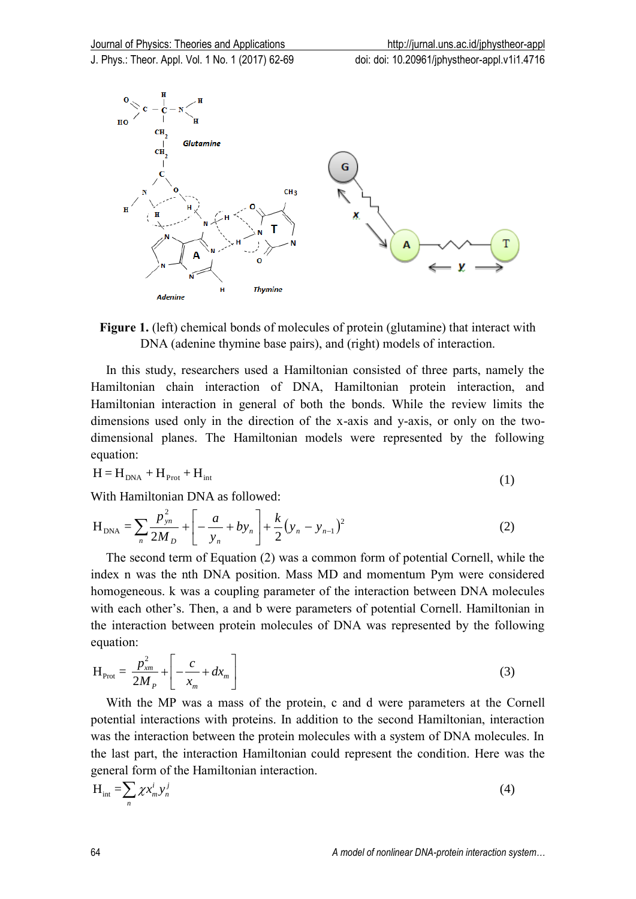



In this study, researchers used a Hamiltonian consisted of three parts, namely the Hamiltonian chain interaction of DNA, Hamiltonian protein interaction, and Hamiltonian interaction in general of both the bonds. While the review limits the dimensions used only in the direction of the x-axis and y-axis, or only on the twodimensional planes. The Hamiltonian models were represented by the following equation:

$$
H = H_{DNA} + H_{Prot} + H_{int}
$$
 (1)

With Hamiltonian DNA as followed:

$$
H_{DNA} = \sum_{n} \frac{p_{yn}^2}{2M_D} + \left[ -\frac{a}{y_n} + by_n \right] + \frac{k}{2} (y_n - y_{n-1})^2
$$
 (2)

The second term of Equation (2) was a common form of potential Cornell, while the index n was the nth DNA position. Mass MD and momentum Pym were considered homogeneous. k was a coupling parameter of the interaction between DNA molecules with each other's. Then, a and b were parameters of potential Cornell. Hamiltonian in the interaction between protein molecules of DNA was represented by the following equation:

$$
H_{\text{Prot}} = \frac{p_{xm}^2}{2M_P} + \left[ -\frac{c}{x_m} + dx_m \right]
$$
 (3)

With the MP was a mass of the protein, c and d were parameters at the Cornell potential interactions with proteins. In addition to the second Hamiltonian, interaction was the interaction between the protein molecules with a system of DNA molecules. In the last part, the interaction Hamiltonian could represent the condition. Here was the general form of the Hamiltonian interaction.

$$
H_{int} = \sum_{n} \chi x_{m}^{i} y_{n}^{j}
$$
 (4)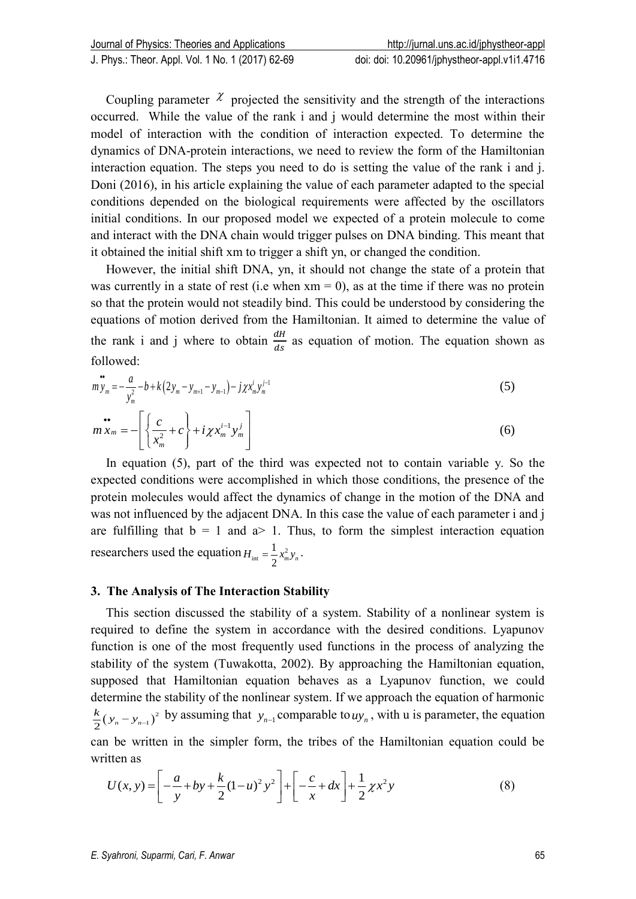Coupling parameter  $\chi$  projected the sensitivity and the strength of the interactions occurred. While the value of the rank i and j would determine the most within their model of interaction with the condition of interaction expected. To determine the dynamics of DNA-protein interactions, we need to review the form of the Hamiltonian interaction equation. The steps you need to do is setting the value of the rank i and j. Doni (2016), in his article explaining the value of each parameter adapted to the special conditions depended on the biological requirements were affected by the oscillators initial conditions. In our proposed model we expected of a protein molecule to come and interact with the DNA chain would trigger pulses on DNA binding. This meant that it obtained the initial shift xm to trigger a shift yn, or changed the condition.

However, the initial shift DNA, yn, it should not change the state of a protein that was currently in a state of rest (i.e when  $x_m = 0$ ), as at the time if there was no protein so that the protein would not steadily bind. This could be understood by considering the equations of motion derived from the Hamiltonian. It aimed to determine the value of the rank i and j where to obtain  $\frac{dH}{ds}$  as equation of motion. The equation shown as followed:

$$
\mathbf{w}_{y_m} = -\frac{a}{y_m^2} - b + k \left( 2y_m - y_{m+1} - y_{m-1} \right) - j \chi x_m^i y_m^{j-1}
$$
\n(5)

$$
m x_m = -\left[\left\{\frac{c}{x_m^2} + c\right\} + i\chi x_m^{i-1} y_m^j\right]
$$
(6)

In equation (5), part of the third was expected not to contain variable y. So the expected conditions were accomplished in which those conditions, the presence of the protein molecules would affect the dynamics of change in the motion of the DNA and was not influenced by the adjacent DNA. In this case the value of each parameter i and j are fulfilling that  $b = 1$  and  $a > 1$ . Thus, to form the simplest interaction equation researchers used the equation  $H_{int} = \frac{1}{2} x_m^2$ 1 2  $H_{\text{int}} = \frac{1}{2} x_m^2 y_n$ .

#### **3. The Analysis of The Interaction Stability**

This section discussed the stability of a system. Stability of a nonlinear system is required to define the system in accordance with the desired conditions. Lyapunov function is one of the most frequently used functions in the process of analyzing the stability of the system (Tuwakotta, 2002). By approaching the Hamiltonian equation, supposed that Hamiltonian equation behaves as a Lyapunov function, we could determine the stability of the nonlinear system. If we approach the equation of harmonic  $\frac{k}{2}(y_n - y_{n-1})^2$  by assuming that  $y_{n-1}$  comparable to  $uy_n$ , with u is parameter, the equation written as

can be written in the simpler form, the triples of the Hamiltonian equation could be written as  
\n
$$
U(x, y) = \left[ -\frac{a}{y} + by + \frac{k}{2} (1 - u)^2 y^2 \right] + \left[ -\frac{c}{x} + dx \right] + \frac{1}{2} \chi x^2 y \tag{8}
$$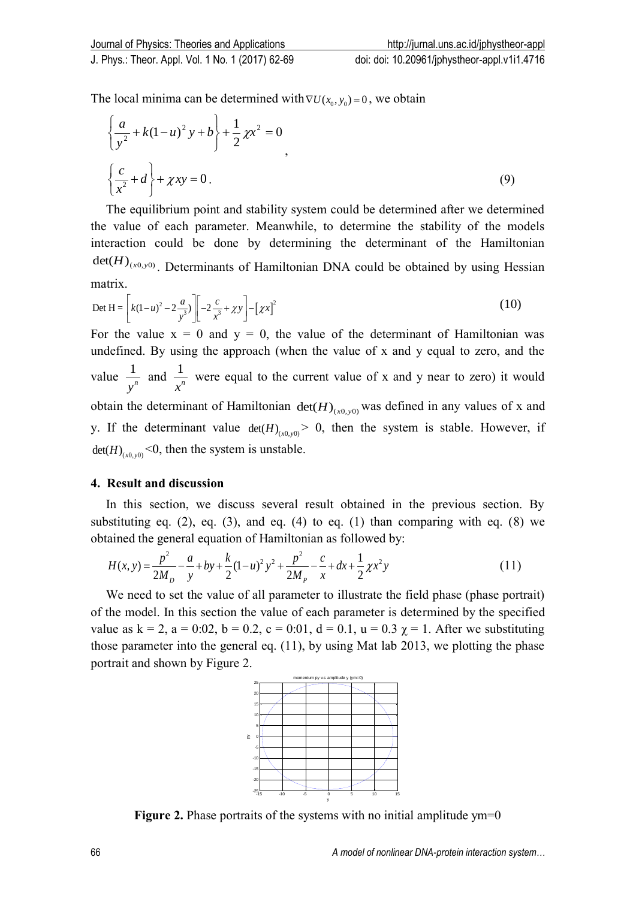The local minima can be determined with  $\nabla U(x_0, y_0) = 0$ , we obtain

$$
\left\{\frac{a}{y^2} + k(1-u)^2 y + b\right\} + \frac{1}{2} \chi x^2 = 0
$$
  

$$
\left\{\frac{c}{x^2} + d\right\} + \chi xy = 0.
$$
 (9)

The equilibrium point and stability system could be determined after we determined the value of each parameter. Meanwhile, to determine the stability of the models interaction could be done by determining the determinant of the Hamiltonian  $\det(H)_{(x0, y0)}$ . Determinants of Hamiltonian DNA could be obtained by using Hessian matrix.

matrix.  
\n
$$
\text{Det } H = \left[ k(1-u)^2 - 2\frac{a}{y^3} \right] \left[ -2\frac{c}{x^3} + \chi y \right] - \left[ \chi x \right]^2 \tag{10}
$$

For the value  $x = 0$  and  $y = 0$ , the value of the determinant of Hamiltonian was undefined. By using the approach (when the value of x and y equal to zero, and the value  $\frac{1}{\sqrt{2}}$ *n y* and  $\frac{1}{2}$ *n x* were equal to the current value of x and y near to zero) it would obtain the determinant of Hamiltonian  $det(H)_{(x0,y0)}$  was defined in any values of x and y. If the determinant value  $det(H)_{(x0,y0)} > 0$ , then the system is stable. However, if  $\det(H)_{(x0, y0)}$  <0, then the system is unstable.

#### **4. Result and discussion**

In this section, we discuss several result obtained in the previous section. By substituting eq.  $(2)$ , eq.  $(3)$ , and eq.  $(4)$  to eq.  $(1)$  than comparing with eq.  $(8)$  we

obtained the general equation of Hamiltonian as followed by:  
\n
$$
H(x, y) = \frac{p^2}{2M_p} - \frac{a}{y} + by + \frac{k}{2}(1 - u)^2 y^2 + \frac{p^2}{2M_p} - \frac{c}{x} + dx + \frac{1}{2} \chi x^2 y
$$
\n(11)

We need to set the value of all parameter to illustrate the field phase (phase portrait) of the model. In this section the value of each parameter is determined by the specified value as  $k = 2$ ,  $a = 0.02$ ,  $b = 0.2$ ,  $c = 0.01$ ,  $d = 0.1$ ,  $u = 0.3$   $\gamma = 1$ . After we substituting those parameter into the general eq. (11), by using Mat lab 2013, we plotting the phase portrait and shown by Figure 2.



**Figure 2.** Phase portraits of the systems with no initial amplitude ym=0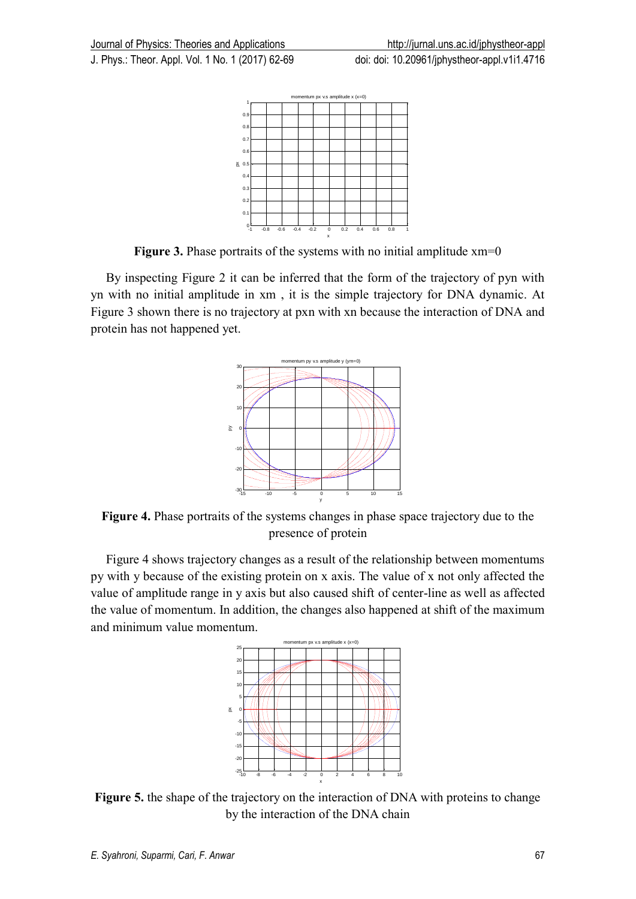-1 -0.8 -0.6 -0.4 -0.2 0 0.2 0.4 0.6 0.8 1 ∟0  $0.1$   $\vdash$  $0.2 0.3 +$  $0.4 -$ 0.5  $\overline{a}$ 0.  $\Omega$  $0.9 \frac{1}{1}$  momentum px v.s amplitude x (x=0)  $\begin{array}{c|cccc}\n\text{2} & 0.5 & & & \\
0.4 & & & & \\
0.3 & & & & \\
0.2 & & & & \\
0.1 & & & & & \\
0.1 & & & & & \\
0.1 & & & & & \\
0.2 & & & & & \\
0.3 & & 0.6 & 0.4 & 0.2 & 0 \\
0.1 & & 0.8 & 0.6 & 0.4 & 0.2 & 0\n\end{array}$ 

**Figure 3.** Phase portraits of the systems with no initial amplitude xm=0

By inspecting Figure 2 it can be inferred that the form of the trajectory of pyn with yn with no initial amplitude in xm , it is the simple trajectory for DNA dynamic. At Figure 3 shown there is no trajectory at pxn with xn because the interaction of DNA and protein has not happened yet.



**Figure 4.** Phase portraits of the systems changes in phase space trajectory due to the presence of protein

Figure 4 shows trajectory changes as a result of the relationship between momentums py with y because of the existing protein on x axis. The value of x not only affected the value of amplitude range in y axis but also caused shift of center-line as well as affected the value of momentum. In addition, the changes also happened at shift of the maximum and minimum value momentum.



**Figure 5.** the shape of the trajectory on the interaction of DNA with proteins to change by the interaction of the DNA chain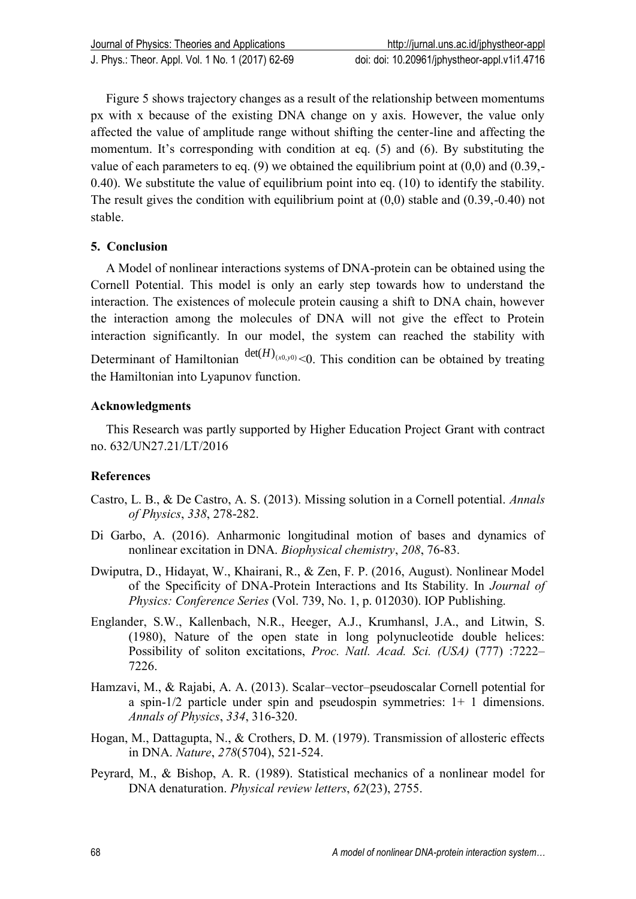Figure 5 shows trajectory changes as a result of the relationship between momentums px with x because of the existing DNA change on y axis. However, the value only affected the value of amplitude range without shifting the center-line and affecting the momentum. It's corresponding with condition at eq. (5) and (6). By substituting the value of each parameters to eq.  $(9)$  we obtained the equilibrium point at  $(0,0)$  and  $(0.39,-$ 0.40). We substitute the value of equilibrium point into eq. (10) to identify the stability. The result gives the condition with equilibrium point at (0,0) stable and (0.39,-0.40) not stable.

## **5. Conclusion**

A Model of nonlinear interactions systems of DNA-protein can be obtained using the Cornell Potential. This model is only an early step towards how to understand the interaction. The existences of molecule protein causing a shift to DNA chain, however the interaction among the molecules of DNA will not give the effect to Protein interaction significantly. In our model, the system can reached the stability with Determinant of Hamiltonian  $det(H)_{(x0,y0)} < 0$ . This condition can be obtained by treating the Hamiltonian into Lyapunov function.

## **Acknowledgments**

This Research was partly supported by Higher Education Project Grant with contract no. 632/UN27.21/LT/2016

# **References**

- Castro, L. B., & De Castro, A. S. (2013). Missing solution in a Cornell potential. *Annals of Physics*, *338*, 278-282.
- Di Garbo, A. (2016). Anharmonic longitudinal motion of bases and dynamics of nonlinear excitation in DNA. *Biophysical chemistry*, *208*, 76-83.
- Dwiputra, D., Hidayat, W., Khairani, R., & Zen, F. P. (2016, August). Nonlinear Model of the Specificity of DNA-Protein Interactions and Its Stability. In *Journal of Physics: Conference Series* (Vol. 739, No. 1, p. 012030). IOP Publishing.
- Englander, S.W., Kallenbach, N.R., Heeger, A.J., Krumhansl, J.A., and Litwin, S. (1980), Nature of the open state in long polynucleotide double helices: Possibility of soliton excitations, *Proc. Natl. Acad. Sci. (USA)* (777) :7222– 7226.
- Hamzavi, M., & Rajabi, A. A. (2013). Scalar–vector–pseudoscalar Cornell potential for a spin-1/2 particle under spin and pseudospin symmetries: 1+ 1 dimensions. *Annals of Physics*, *334*, 316-320.
- Hogan, M., Dattagupta, N., & Crothers, D. M. (1979). Transmission of allosteric effects in DNA. *Nature*, *278*(5704), 521-524.
- Peyrard, M., & Bishop, A. R. (1989). Statistical mechanics of a nonlinear model for DNA denaturation. *Physical review letters*, *62*(23), 2755.